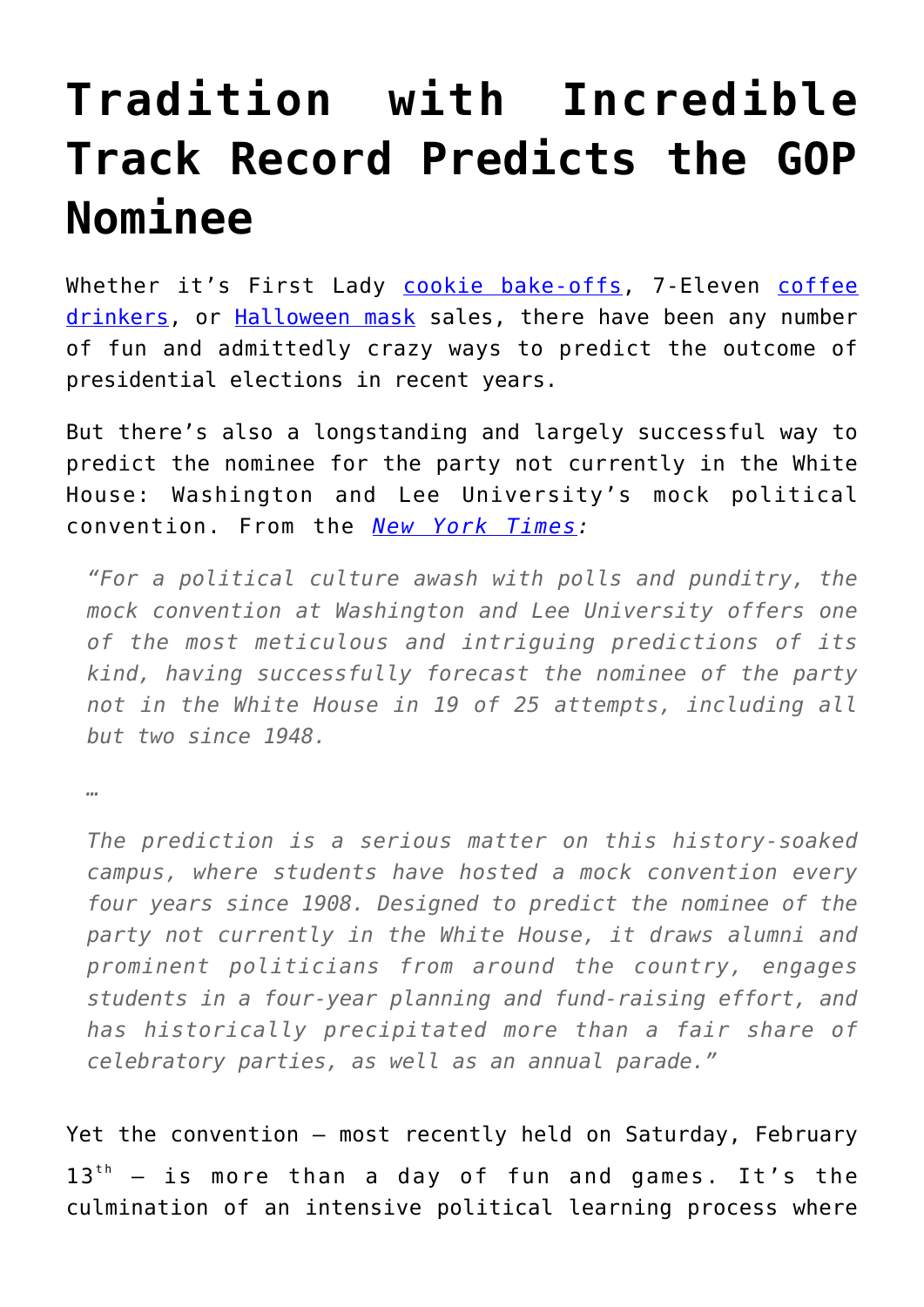## **[Tradition with Incredible](https://intellectualtakeout.org/2016/02/tradition-with-incredible-track-record-predicts-the-gop-nominee/) [Track Record Predicts the GOP](https://intellectualtakeout.org/2016/02/tradition-with-incredible-track-record-predicts-the-gop-nominee/) [Nominee](https://intellectualtakeout.org/2016/02/tradition-with-incredible-track-record-predicts-the-gop-nominee/)**

Whether it's First Lady [cookie bake-offs](http://newsfeed.time.com/2012/10/02/michelle-obama-wins-critical-first-lady-cookie-contest/), 7-Eleven [coffee](http://abcnews.go.com/Politics/OTUS/wacky-ways-predict-presidential-election/story?id=17293644) [drinkers,](http://abcnews.go.com/Politics/OTUS/wacky-ways-predict-presidential-election/story?id=17293644) or [Halloween mask](http://abcnews.go.com/Politics/OTUS/wacky-ways-predict-presidential-election/story?id=17293644) sales, there have been any number of fun and admittedly crazy ways to predict the outcome of presidential elections in recent years.

But there's also a longstanding and largely successful way to predict the nominee for the party not currently in the White House: Washington and Lee University's mock political convention. From the *[New York Times:](http://www.nytimes.com/2016/02/14/us/politics/donald-trump-will-be-gop-nominee-students-mock-convention-says.html?partner=rss&emc=rss&_r=0)*

*"For a political culture awash with polls and punditry, the mock convention at Washington and Lee University offers one of the most meticulous and intriguing predictions of its kind, having successfully forecast the nominee of the party not in the White House in 19 of 25 attempts, including all but two since 1948.*

*…*

*The prediction is a serious matter on this history-soaked campus, where students have hosted a mock convention every four years since 1908. Designed to predict the nominee of the party not currently in the White House, it draws alumni and prominent politicians from around the country, engages students in a four-year planning and fund-raising effort, and has historically precipitated more than a fair share of celebratory parties, as well as an annual parade."*

Yet the convention – most recently held on Saturday, February  $13<sup>th</sup>$  – is more than a day of fun and games. It's the culmination of an intensive political learning process where